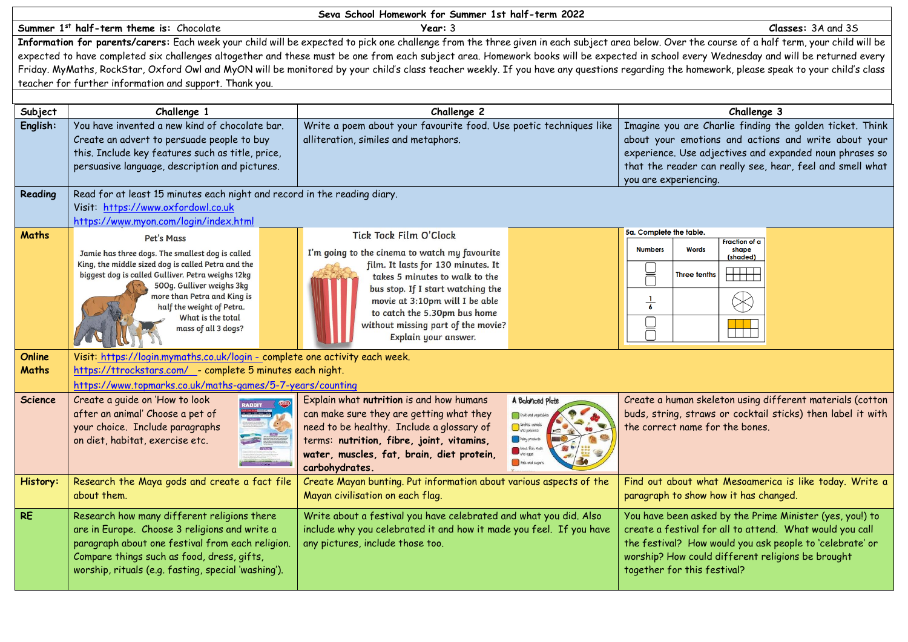| Seva School Homework for Summer 1st half-term 2022                                                                                                                                          |                                                                             |                                                                                                                                                                                                 |                                                             |  |  |
|---------------------------------------------------------------------------------------------------------------------------------------------------------------------------------------------|-----------------------------------------------------------------------------|-------------------------------------------------------------------------------------------------------------------------------------------------------------------------------------------------|-------------------------------------------------------------|--|--|
|                                                                                                                                                                                             | Summer 1st half-term theme is: Chocolate                                    | Year: 3                                                                                                                                                                                         | Classes: 3A and 3S                                          |  |  |
|                                                                                                                                                                                             |                                                                             | Information for parents/carers: Each week your child will be expected to pick one challenge from the three given in each subject area below. Over the course of a half term, your child will be |                                                             |  |  |
| expected to have completed six challenges altogether and these must be one from each subject area. Homework books will be expected in school every Wednesday and will be returned every     |                                                                             |                                                                                                                                                                                                 |                                                             |  |  |
| Friday. MyMaths, RockStar, Oxford Owl and MyON will be monitored by your child's class teacher weekly. If you have any questions regarding the homework, please speak to your child's class |                                                                             |                                                                                                                                                                                                 |                                                             |  |  |
| teacher for further information and support. Thank you.                                                                                                                                     |                                                                             |                                                                                                                                                                                                 |                                                             |  |  |
|                                                                                                                                                                                             |                                                                             |                                                                                                                                                                                                 |                                                             |  |  |
| Subject                                                                                                                                                                                     | Challenge 1                                                                 | Challenge 2                                                                                                                                                                                     | Challenge 3                                                 |  |  |
| English:                                                                                                                                                                                    | You have invented a new kind of chocolate bar.                              | Write a poem about your favourite food. Use poetic techniques like                                                                                                                              | Imagine you are Charlie finding the golden ticket. Think    |  |  |
|                                                                                                                                                                                             | Create an advert to persuade people to buy                                  | alliteration, similes and metaphors.                                                                                                                                                            | about your emotions and actions and write about your        |  |  |
|                                                                                                                                                                                             | this. Include key features such as title, price,                            |                                                                                                                                                                                                 | experience. Use adjectives and expanded noun phrases so     |  |  |
|                                                                                                                                                                                             | persuasive language, description and pictures.                              |                                                                                                                                                                                                 | that the reader can really see, hear, feel and smell what   |  |  |
|                                                                                                                                                                                             |                                                                             |                                                                                                                                                                                                 | you are experiencing.                                       |  |  |
| Reading                                                                                                                                                                                     | Read for at least 15 minutes each night and record in the reading diary.    |                                                                                                                                                                                                 |                                                             |  |  |
|                                                                                                                                                                                             | Visit: https://www.oxfordowl.co.uk                                          |                                                                                                                                                                                                 |                                                             |  |  |
|                                                                                                                                                                                             | https://www.myon.com/login/index.html                                       |                                                                                                                                                                                                 |                                                             |  |  |
| <b>Maths</b>                                                                                                                                                                                | Pet's Mass                                                                  | Tick Tock Film O'Clock                                                                                                                                                                          | 5a. Complete the table.                                     |  |  |
|                                                                                                                                                                                             | Jamie has three dogs. The smallest dog is called                            | I'm going to the cinema to watch my favourite                                                                                                                                                   | Fraction of a<br><b>Numbers</b><br><b>Words</b><br>shape    |  |  |
|                                                                                                                                                                                             | King, the middle sized dog is called Petra and the                          | film. It lasts for 130 minutes. It                                                                                                                                                              | (shaded)                                                    |  |  |
|                                                                                                                                                                                             | biggest dog is called Gulliver. Petra weighs 12kg                           | takes 5 minutes to walk to the                                                                                                                                                                  | )<br>N<br><del>       </del><br><b>Three tenths</b>         |  |  |
|                                                                                                                                                                                             | 500g. Gulliver weighs 3kg                                                   | bus stop. If I start watching the                                                                                                                                                               |                                                             |  |  |
|                                                                                                                                                                                             | more than Petra and King is<br>half the weight of Petra.                    | movie at 3:10pm will I be able                                                                                                                                                                  | $\frac{1}{6}$                                               |  |  |
|                                                                                                                                                                                             | What is the total                                                           | to catch the 5.30pm bus home                                                                                                                                                                    |                                                             |  |  |
|                                                                                                                                                                                             | mass of all 3 dogs?                                                         | without missing part of the movie?                                                                                                                                                              | 니<br>N                                                      |  |  |
|                                                                                                                                                                                             |                                                                             | Explain your answer.                                                                                                                                                                            |                                                             |  |  |
| Online                                                                                                                                                                                      | Visit: https://login.mymaths.co.uk/login - complete one activity each week. |                                                                                                                                                                                                 |                                                             |  |  |
| Maths                                                                                                                                                                                       | https://ttrockstars.com/ _- complete 5 minutes each night.                  |                                                                                                                                                                                                 |                                                             |  |  |
|                                                                                                                                                                                             | https://www.topmarks.co.uk/maths-games/5-7-years/counting                   |                                                                                                                                                                                                 |                                                             |  |  |
| Science                                                                                                                                                                                     | Create a guide on 'How to look                                              | Explain what nutrition is and how humans<br>A Balanced plate                                                                                                                                    | Create a human skeleton using different materials (cotton   |  |  |
|                                                                                                                                                                                             | after an animal' Choose a pet of                                            | can make sure they are getting what they<br>Fruit and vegetabl                                                                                                                                  | buds, string, straws or cocktail sticks) then label it with |  |  |
|                                                                                                                                                                                             | your choice. Include paragraphs                                             | Grains, cereals<br>and potatoes<br>need to be healthy. Include a glossary of                                                                                                                    | the correct name for the bones.                             |  |  |
|                                                                                                                                                                                             | on diet, habitat, exercise etc.                                             | <b>Naity</b> products<br>terms: nutrition, fibre, joint, vitamins,                                                                                                                              |                                                             |  |  |
|                                                                                                                                                                                             |                                                                             | <b>West fish ruts</b><br>and eggs<br>water, muscles, fat, brain, diet protein,                                                                                                                  |                                                             |  |  |
|                                                                                                                                                                                             |                                                                             | Fats ond sugare<br>carbohydrates.                                                                                                                                                               |                                                             |  |  |
| History:                                                                                                                                                                                    | Research the Maya gods and create a fact file                               | Create Mayan bunting. Put information about various aspects of the                                                                                                                              | Find out about what Mesoamerica is like today. Write a      |  |  |
|                                                                                                                                                                                             | about them.                                                                 | Mayan civilisation on each flag.                                                                                                                                                                | paragraph to show how it has changed.                       |  |  |
|                                                                                                                                                                                             |                                                                             |                                                                                                                                                                                                 |                                                             |  |  |
| <b>RE</b>                                                                                                                                                                                   | Research how many different religions there                                 | Write about a festival you have celebrated and what you did. Also                                                                                                                               | You have been asked by the Prime Minister (yes, you!) to    |  |  |
|                                                                                                                                                                                             | are in Europe. Choose 3 religions and write a                               | include why you celebrated it and how it made you feel. If you have                                                                                                                             | create a festival for all to attend. What would you call    |  |  |
|                                                                                                                                                                                             | paragraph about one festival from each religion.                            | any pictures, include those too.                                                                                                                                                                | the festival? How would you ask people to 'celebrate' or    |  |  |
|                                                                                                                                                                                             | Compare things such as food, dress, gifts,                                  |                                                                                                                                                                                                 | worship? How could different religions be brought           |  |  |
|                                                                                                                                                                                             | worship, rituals (e.g. fasting, special 'washing').                         |                                                                                                                                                                                                 | together for this festival?                                 |  |  |
|                                                                                                                                                                                             |                                                                             |                                                                                                                                                                                                 |                                                             |  |  |